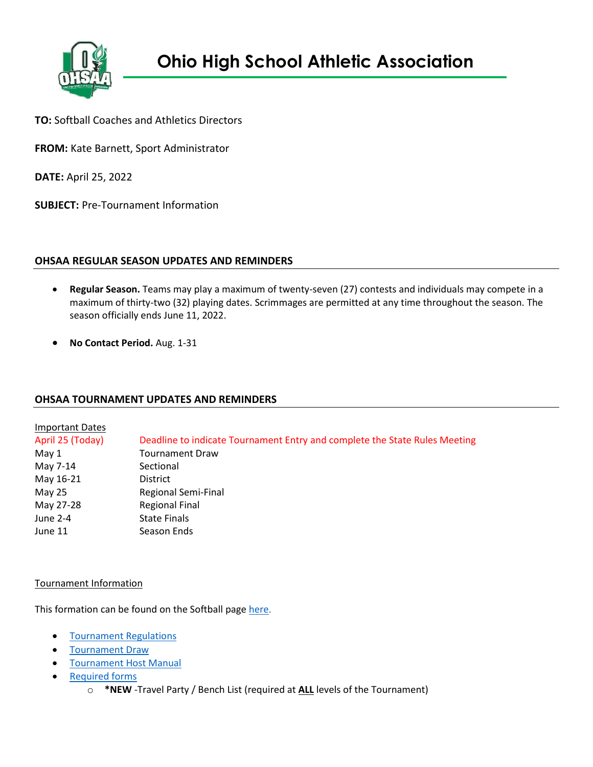

**TO:** Softball Coaches and Athletics Directors

**FROM:** Kate Barnett, Sport Administrator

**DATE:** April 25, 2022

**SUBJECT:** Pre-Tournament Information

# **OHSAA REGULAR SEASON UPDATES AND REMINDERS**

- **Regular Season.** Teams may play a maximum of twenty-seven (27) contests and individuals may compete in a maximum of thirty-two (32) playing dates. Scrimmages are permitted at any time throughout the season. The season officially ends June 11, 2022.
- **No Contact Period.** Aug. 1-31

# **OHSAA TOURNAMENT UPDATES AND REMINDERS**

| Important Dates  |                                                                            |
|------------------|----------------------------------------------------------------------------|
| April 25 (Today) | Deadline to indicate Tournament Entry and complete the State Rules Meeting |
| May 1            | <b>Tournament Draw</b>                                                     |
| May 7-14         | Sectional                                                                  |
| May 16-21        | <b>District</b>                                                            |
| May 25           | Regional Semi-Final                                                        |
| May 27-28        | <b>Regional Final</b>                                                      |
| June 2-4         | <b>State Finals</b>                                                        |
| June 11          | Season Ends                                                                |

### Tournament Information

This formation can be found on the Softball page [here.](https://www.ohsaa.org/sports/softball)

- [Tournament Regulations](https://ohsaaweb.blob.core.windows.net/files/Sports/Softball/2022/2022FastPitchSoftballTournamentRegs.pdf)
- **[Tournament Draw](https://ohsaaweb.blob.core.windows.net/files/Sports/Softball/2022/2022SoftballTournamentDraw.pdf)**
- **[Tournament Host Manual](https://ohsaaweb.blob.core.windows.net/files/Sports/Softball/2022/2022SoftballSectionalDistrictRegionalManual.pdf)**
- [Required forms](https://www.ohsaa.org/sports/softball/tournament-info)
	- o **\*NEW** -Travel Party / Bench List (required at **ALL** levels of the Tournament)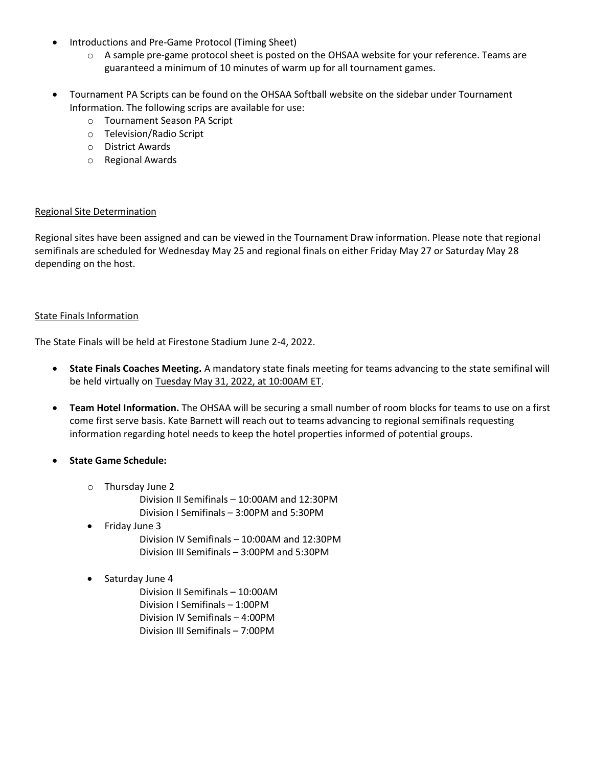- Introductions and Pre-Game Protocol (Timing Sheet)
	- $\circ$  A sample pre-game protocol sheet is posted on the OHSAA website for your reference. Teams are guaranteed a minimum of 10 minutes of warm up for all tournament games.
- Tournament PA Scripts can be found on the OHSAA Softball website on the sidebar under Tournament Information. The following scrips are available for use:
	- o Tournament Season PA Script
	- o Television/Radio Script
	- o District Awards
	- o Regional Awards

#### Regional Site Determination

Regional sites have been assigned and can be viewed in the Tournament Draw information. Please note that regional semifinals are scheduled for Wednesday May 25 and regional finals on either Friday May 27 or Saturday May 28 depending on the host.

#### State Finals Information

The State Finals will be held at Firestone Stadium June 2-4, 2022.

- **State Finals Coaches Meeting.** A mandatory state finals meeting for teams advancing to the state semifinal will be held virtually on Tuesday May 31, 2022, at 10:00AM ET.
- **Team Hotel Information.** The OHSAA will be securing a small number of room blocks for teams to use on a first come first serve basis. Kate Barnett will reach out to teams advancing to regional semifinals requesting information regarding hotel needs to keep the hotel properties informed of potential groups.

### • **State Game Schedule:**

- o Thursday June 2
	- Division II Semifinals 10:00AM and 12:30PM Division I Semifinals – 3:00PM and 5:30PM
- Friday June 3 Division IV Semifinals – 10:00AM and 12:30PM Division III Semifinals – 3:00PM and 5:30PM
- Saturday June 4

Division II Semifinals – 10:00AM Division I Semifinals – 1:00PM Division IV Semifinals – 4:00PM Division III Semifinals – 7:00PM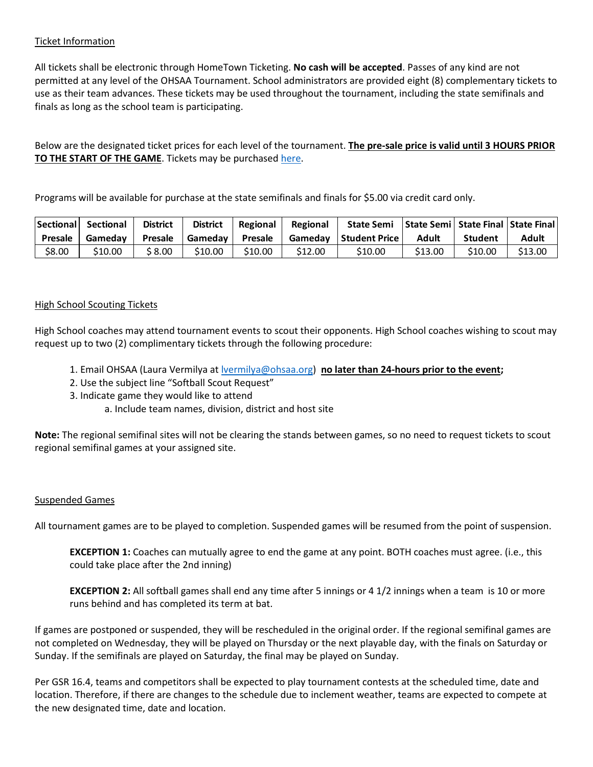### Ticket Information

All tickets shall be electronic through HomeTown Ticketing. **No cash will be accepted**. Passes of any kind are not permitted at any level of the OHSAA Tournament. School administrators are provided eight (8) complementary tickets to use as their team advances. These tickets may be used throughout the tournament, including the state semifinals and finals as long as the school team is participating.

Below are the designated ticket prices for each level of the tournament. **The pre-sale price is valid until 3 HOURS PRIOR TO THE START OF THE GAME**. Tickets may be purchased [here.](https://www.ohsaa.org/tickets)

Programs will be available for purchase at the state semifinals and finals for \$5.00 via credit card only.

| Sectional      | Sectional | <b>District</b> | <b>District</b> | Regional | Regional | <b>State Semi</b> |         | State Semi   State Final   State Final |         |
|----------------|-----------|-----------------|-----------------|----------|----------|-------------------|---------|----------------------------------------|---------|
| <b>Presale</b> | Gamedav   | <b>Presale</b>  | Gameday         | Presale  | Gamedav  | l Student Price   | Adult   | <b>Student</b>                         | Adult   |
| \$8.00         | S10.00    | \$ 8.00         | \$10.00         | \$10.00  | \$12.00  | S10.00            | \$13.00 | \$10.00                                | \$13.00 |

### High School Scouting Tickets

High School coaches may attend tournament events to scout their opponents. High School coaches wishing to scout may request up to two (2) complimentary tickets through the following procedure:

- 1. Email OHSAA (Laura Vermilya at [lvermilya@ohsaa.org\)](mailto:lvermilya@ohsaa.org) **no later than 24-hours prior to the event;**
- 2. Use the subject line "Softball Scout Request"
- 3. Indicate game they would like to attend
	- a. Include team names, division, district and host site

**Note:** The regional semifinal sites will not be clearing the stands between games, so no need to request tickets to scout regional semifinal games at your assigned site.

### Suspended Games

All tournament games are to be played to completion. Suspended games will be resumed from the point of suspension.

**EXCEPTION 1:** Coaches can mutually agree to end the game at any point. BOTH coaches must agree. (i.e., this could take place after the 2nd inning)

**EXCEPTION 2:** All softball games shall end any time after 5 innings or 4 1/2 innings when a team is 10 or more runs behind and has completed its term at bat.

If games are postponed or suspended, they will be rescheduled in the original order. If the regional semifinal games are not completed on Wednesday, they will be played on Thursday or the next playable day, with the finals on Saturday or Sunday. If the semifinals are played on Saturday, the final may be played on Sunday.

Per GSR 16.4, teams and competitors shall be expected to play tournament contests at the scheduled time, date and location. Therefore, if there are changes to the schedule due to inclement weather, teams are expected to compete at the new designated time, date and location.